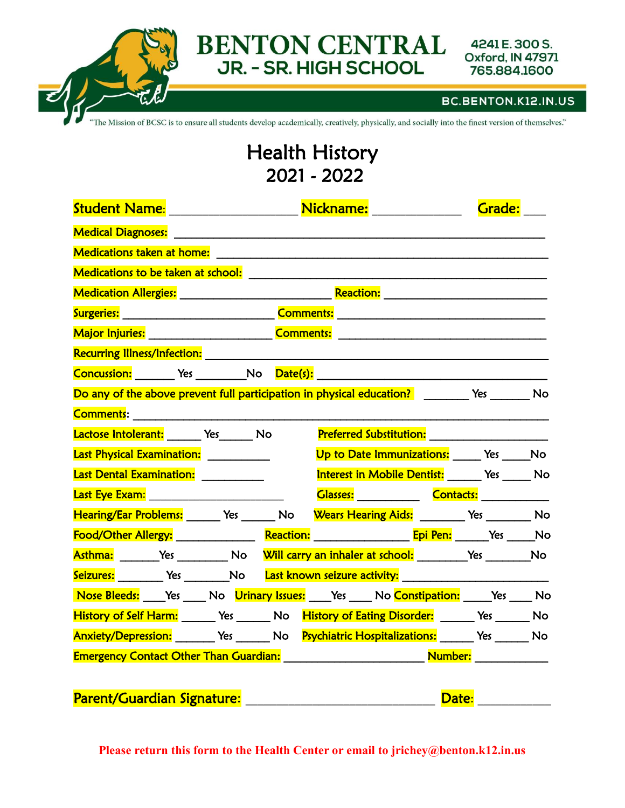

#### BC.BENTON.K12.IN.US

The Mission of BCSC is to ensure all students develop academically, creatively, physically, and socially into the finest version of themselves."

## Health History 2021 - 2022

|                                                                                                      | Nickname: ____________<br>Student Name: Manner Student Name: |  | Grade:                                      |  |
|------------------------------------------------------------------------------------------------------|--------------------------------------------------------------|--|---------------------------------------------|--|
|                                                                                                      |                                                              |  |                                             |  |
| <b>Medications taken at home:</b>                                                                    |                                                              |  |                                             |  |
|                                                                                                      |                                                              |  |                                             |  |
|                                                                                                      |                                                              |  |                                             |  |
|                                                                                                      |                                                              |  |                                             |  |
|                                                                                                      |                                                              |  |                                             |  |
|                                                                                                      |                                                              |  |                                             |  |
|                                                                                                      |                                                              |  |                                             |  |
| Do any of the above prevent full participation in physical education? The Mesa The Mo                |                                                              |  |                                             |  |
|                                                                                                      |                                                              |  |                                             |  |
| Lactose Intolerant: Ves No                                                                           |                                                              |  |                                             |  |
| Last Physical Examination: __________                                                                |                                                              |  | Up to Date Immunizations: _____ Yes _____No |  |
| Last Dental Examination: __________                                                                  |                                                              |  | Interest in Mobile Dentist: Yes Mo          |  |
|                                                                                                      |                                                              |  | Glasses: Contacts: Contacts:                |  |
| Hearing/Ear Problems: ______ Yes ______ No Wears Hearing Aids: ________ Yes ________ No              |                                                              |  |                                             |  |
|                                                                                                      |                                                              |  |                                             |  |
| Asthma: ________Yes ____________No Will carry an inhaler at school: _________Yes _________No         |                                                              |  |                                             |  |
| Seizures: _________ Yes _________No Last known seizure activity: ___________________________________ |                                                              |  |                                             |  |
| Nose Bleeds: _____Yes ______No Urinary Issues: _____Yes _____ No Constipation: _____Yes _____ No     |                                                              |  |                                             |  |
| History of Self Harm: _______ Yes _______ No History of Eating Disorder: ______ Yes ______ No        |                                                              |  |                                             |  |
| Anxiety/Depression: ________ Yes _______ No Psychiatric Hospitalizations: ______ Yes ______ No       |                                                              |  |                                             |  |
| Emergency Contact Other Than Guardian: Manual According Mumber: Mumber: Mumber:                      |                                                              |  |                                             |  |

| <b>Parent/Guardian Signature:</b> | <b>Date</b> |  |
|-----------------------------------|-------------|--|
|                                   |             |  |

**Please return this form to the Health Center or email to jrichey@benton.k12.in.us**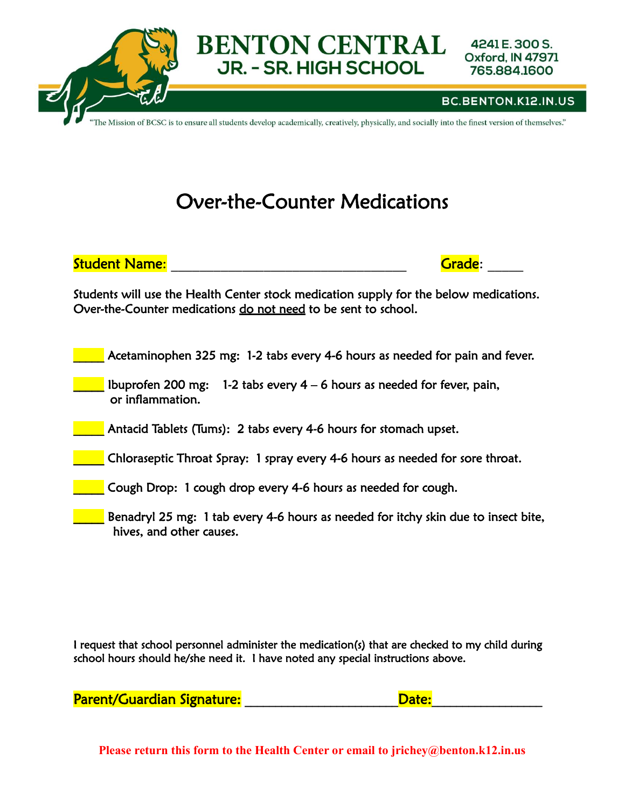

The Mission of BCSC is to ensure all students develop academically, creatively, physically, and socially into the finest version of themselves."

## Over-the-Counter Medications

Student Name: \_\_\_\_\_\_\_\_\_\_\_\_\_\_\_\_\_\_\_\_\_\_\_\_\_\_\_\_\_\_\_\_\_ Grade: \_\_\_\_\_

Students will use the Health Center stock medication supply for the below medications. Over-the-Counter medications do not need to be sent to school.

Acetaminophen 325 mg: 1-2 tabs every 4-6 hours as needed for pain and fever.

Ibuprofen 200 mg: 1-2 tabs every  $4 - 6$  hours as needed for fever, pain, or inflammation.

Antacid Tablets (Tums): 2 tabs every 4-6 hours for stomach upset.

\_\_\_\_\_ Chloraseptic Throat Spray: 1 spray every 4-6 hours as needed for sore throat.

**Late Cough Drop: 1 cough drop every 4-6 hours as needed for cough.** 

**EXECUTE:** Benadryl 25 mg: 1 tab every 4-6 hours as needed for itchy skin due to insect bite, hives, and other causes.

I request that school personnel administer the medication(s) that are checked to my child during school hours should he/she need it. I have noted any special instructions above.

Parent/Guardian Signature: etc. and a control of the Date:

**Please return this form to the Health Center or email to jrichey@benton.k12.in.us**